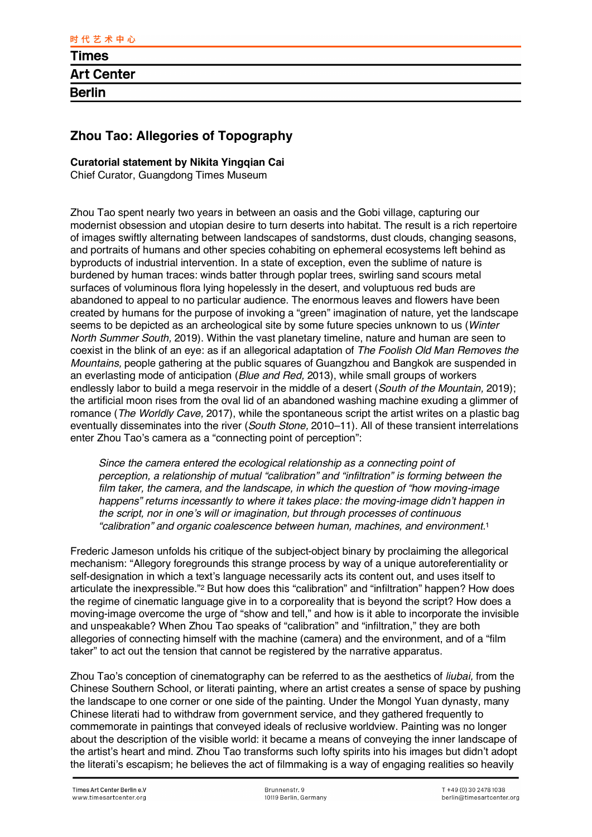## **Zhou Tao: Allegories of Topography**

## **Curatorial statement by Nikita Yingqian Cai**

Chief Curator, Guangdong Times Museum

Zhou Tao spent nearly two years in between an oasis and the Gobi village, capturing our modernist obsession and utopian desire to turn deserts into habitat. The result is a rich repertoire of images swiftly alternating between landscapes of sandstorms, dust clouds, changing seasons, and portraits of humans and other species cohabiting on ephemeral ecosystems left behind as byproducts of industrial intervention. In a state of exception, even the sublime of nature is burdened by human traces: winds batter through poplar trees, swirling sand scours metal surfaces of voluminous flora lying hopelessly in the desert, and voluptuous red buds are abandoned to appeal to no particular audience. The enormous leaves and flowers have been created by humans for the purpose of invoking a "green" imagination of nature, yet the landscape seems to be depicted as an archeological site by some future species unknown to us (*Winter North Summer South,* 2019). Within the vast planetary timeline, nature and human are seen to coexist in the blink of an eye: as if an allegorical adaptation of *The Foolish Old Man Removes the Mountains,* people gathering at the public squares of Guangzhou and Bangkok are suspended in an everlasting mode of anticipation (*Blue and Red,* 2013), while small groups of workers endlessly labor to build a mega reservoir in the middle of a desert (*South of the Mountain,* 2019); the artificial moon rises from the oval lid of an abandoned washing machine exuding a glimmer of romance (*The Worldly Cave,* 2017), while the spontaneous script the artist writes on a plastic bag eventually disseminates into the river (*South Stone,* 2010–11). All of these transient interrelations enter Zhou Tao's camera as a "connecting point of perception":

*Since the camera entered the ecological relationship as a connecting point of perception, a relationship of mutual "calibration" and "infiltration" is forming between the film taker, the camera, and the landscape, in which the question of "how moving-image happens" returns incessantly to where it takes place: the moving-image didn't happen in the script, nor in one's will or imagination, but through processes of continuous "calibration" and organic coalescence between human, machines, and environment.*<sup>1</sup>

Frederic Jameson unfolds his critique of the subject-object binary by proclaiming the allegorical mechanism: "Allegory foregrounds this strange process by way of a unique autoreferentiality or self-designation in which a text's language necessarily acts its content out, and uses itself to articulate the inexpressible."2 But how does this "calibration" and "infiltration" happen? How does the regime of cinematic language give in to a corporeality that is beyond the script? How does a moving-image overcome the urge of "show and tell," and how is it able to incorporate the invisible and unspeakable? When Zhou Tao speaks of "calibration" and "infiltration," they are both allegories of connecting himself with the machine (camera) and the environment, and of a "film taker" to act out the tension that cannot be registered by the narrative apparatus.

Zhou Tao's conception of cinematography can be referred to as the aesthetics of *liubai,* from the Chinese Southern School, or literati painting, where an artist creates a sense of space by pushing the landscape to one corner or one side of the painting. Under the Mongol Yuan dynasty, many Chinese literati had to withdraw from government service, and they gathered frequently to commemorate in paintings that conveyed ideals of reclusive worldview. Painting was no longer about the description of the visible world: it became a means of conveying the inner landscape of the artist's heart and mind. Zhou Tao transforms such lofty spirits into his images but didn't adopt the literati's escapism; he believes the act of filmmaking is a way of engaging realities so heavily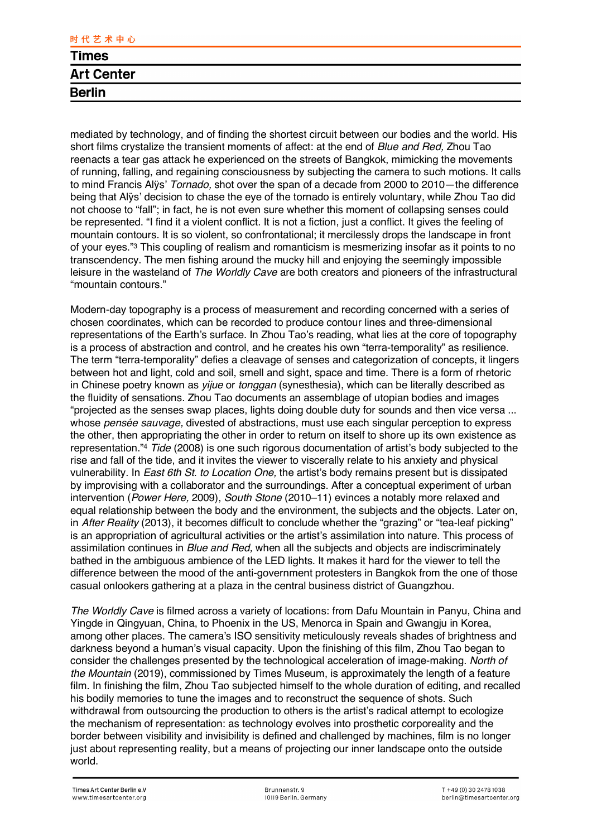mediated by technology, and of finding the shortest circuit between our bodies and the world. His short films crystalize the transient moments of affect: at the end of *Blue and Red,* Zhou Tao reenacts a tear gas attack he experienced on the streets of Bangkok, mimicking the movements of running, falling, and regaining consciousness by subjecting the camera to such motions. It calls to mind Francis Alÿs' *Tornado,* shot over the span of a decade from 2000 to 2010—the difference being that Alÿs' decision to chase the eye of the tornado is entirely voluntary, while Zhou Tao did not choose to "fall"; in fact, he is not even sure whether this moment of collapsing senses could be represented. "I find it a violent conflict. It is not a fiction, just a conflict. It gives the feeling of mountain contours. It is so violent, so confrontational; it mercilessly drops the landscape in front of your eyes."3 This coupling of realism and romanticism is mesmerizing insofar as it points to no transcendency. The men fishing around the mucky hill and enjoying the seemingly impossible leisure in the wasteland of *The Worldly Cave* are both creators and pioneers of the infrastructural "mountain contours."

Modern-day topography is a process of measurement and recording concerned with a series of chosen coordinates, which can be recorded to produce contour lines and three-dimensional representations of the Earth's surface. In Zhou Tao's reading, what lies at the core of topography is a process of abstraction and control, and he creates his own "terra-temporality" as resilience. The term "terra-temporality" defies a cleavage of senses and categorization of concepts, it lingers between hot and light, cold and soil, smell and sight, space and time. There is a form of rhetoric in Chinese poetry known as *yijue* or *tonggan* (synesthesia), which can be literally described as the fluidity of sensations. Zhou Tao documents an assemblage of utopian bodies and images "projected as the senses swap places, lights doing double duty for sounds and then vice versa ... whose *pensée sauvage*, divested of abstractions, must use each singular perception to express the other, then appropriating the other in order to return on itself to shore up its own existence as representation."4 *Tide* (2008) is one such rigorous documentation of artist's body subjected to the rise and fall of the tide, and it invites the viewer to viscerally relate to his anxiety and physical vulnerability. In *East 6th St. to Location One,* the artist's body remains present but is dissipated by improvising with a collaborator and the surroundings. After a conceptual experiment of urban intervention (*Power Here,* 2009), *South Stone* (2010–11) evinces a notably more relaxed and equal relationship between the body and the environment, the subjects and the objects. Later on, in *After Reality* (2013), it becomes difficult to conclude whether the "grazing" or "tea-leaf picking" is an appropriation of agricultural activities or the artist's assimilation into nature. This process of assimilation continues in *Blue and Red,* when all the subjects and objects are indiscriminately bathed in the ambiguous ambience of the LED lights. It makes it hard for the viewer to tell the difference between the mood of the anti-government protesters in Bangkok from the one of those casual onlookers gathering at a plaza in the central business district of Guangzhou.

*The Worldly Cave* is filmed across a variety of locations: from Dafu Mountain in Panyu, China and Yingde in Qingyuan, China, to Phoenix in the US, Menorca in Spain and Gwangju in Korea, among other places. The camera's ISO sensitivity meticulously reveals shades of brightness and darkness beyond a human's visual capacity. Upon the finishing of this film, Zhou Tao began to consider the challenges presented by the technological acceleration of image-making. *North of the Mountain* (2019), commissioned by Times Museum, is approximately the length of a feature film. In finishing the film, Zhou Tao subjected himself to the whole duration of editing, and recalled his bodily memories to tune the images and to reconstruct the sequence of shots. Such withdrawal from outsourcing the production to others is the artist's radical attempt to ecologize the mechanism of representation: as technology evolves into prosthetic corporeality and the border between visibility and invisibility is defined and challenged by machines, film is no longer just about representing reality, but a means of projecting our inner landscape onto the outside world.

**Berlin**